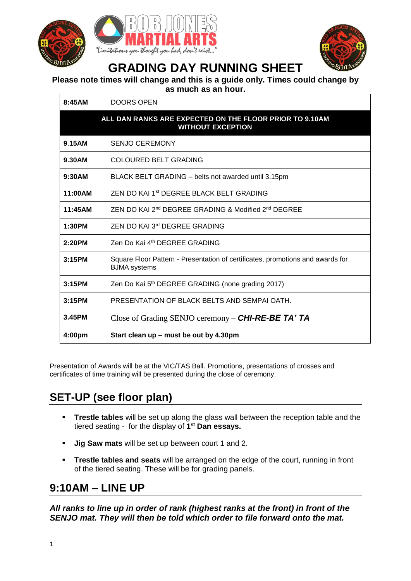





# **GRADING DAY RUNNING SHEET**

#### **Please note times will change and this is a guide only. Times could change by**

**as much as an hour.**

| 8:45AM                                                                              | <b>DOORS OPEN</b>                                                                                     |  |
|-------------------------------------------------------------------------------------|-------------------------------------------------------------------------------------------------------|--|
| ALL DAN RANKS ARE EXPECTED ON THE FLOOR PRIOR TO 9.10AM<br><b>WITHOUT EXCEPTION</b> |                                                                                                       |  |
| 9.15AM                                                                              | <b>SENJO CEREMONY</b>                                                                                 |  |
| 9.30AM                                                                              | <b>COLOURED BELT GRADING</b>                                                                          |  |
| 9:30AM                                                                              | BLACK BELT GRADING - belts not awarded until 3.15pm                                                   |  |
| 11:00AM                                                                             | ZEN DO KAJ 1 <sup>st</sup> DEGREE BLACK BELT GRADING                                                  |  |
| 11:45AM                                                                             | ZEN DO KAI 2 <sup>nd</sup> DEGREE GRADING & Modified 2 <sup>nd</sup> DEGREE                           |  |
| 1:30PM                                                                              | ZEN DO KAI 3 <sup>rd</sup> DEGREE GRADING                                                             |  |
| 2:20PM                                                                              | Zen Do Kai 4th DEGREE GRADING                                                                         |  |
| 3:15PM                                                                              | Square Floor Pattern - Presentation of certificates, promotions and awards for<br><b>BJMA</b> systems |  |
| 3:15PM                                                                              | Zen Do Kai 5 <sup>th</sup> DEGREE GRADING (none grading 2017)                                         |  |
| 3:15PM                                                                              | PRESENTATION OF BLACK BELTS AND SEMPAI OATH.                                                          |  |
| 3.45PM                                                                              | Close of Grading SENJO ceremony – <b>CHI-RE-BE TA' TA</b>                                             |  |
| 4:00pm                                                                              | Start clean up - must be out by 4.30pm                                                                |  |

Presentation of Awards will be at the VIC/TAS Ball. Promotions, presentations of crosses and certificates of time training will be presented during the close of ceremony.

## **SET-UP (see floor plan)**

- **Trestle tables** will be set up along the glass wall between the reception table and the tiered seating - for the display of **1 st Dan essays.**
- **Jig Saw mats** will be set up between court 1 and 2.
- **Trestle tables and seats** will be arranged on the edge of the court, running in front of the tiered seating. These will be for grading panels.

# **9:10AM – LINE UP**

*All ranks to line up in order of rank (highest ranks at the front) in front of the SENJO mat. They will then be told which order to file forward onto the mat.*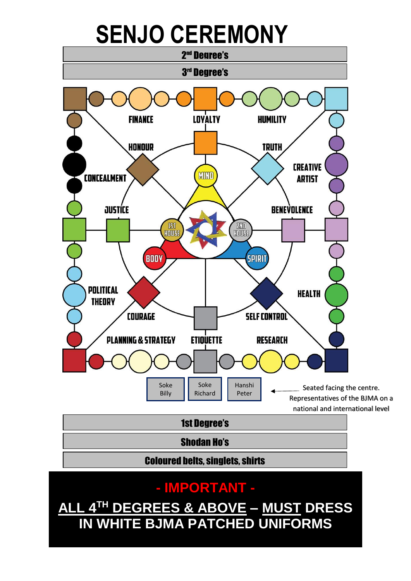# **SENJO CEREMONY**



# **- IMPORTANT -**

**ALL 4TH DEGREES & ABOVE – MUST DRESS IN WHITE BJMA PATCHED UNIFORMS**

2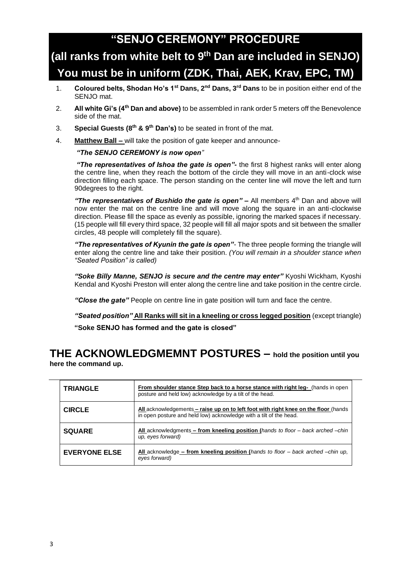## **"SENJO CEREMONY" PROCEDURE**

# **(all ranks from white belt to 9 th Dan are included in SENJO) You must be in uniform (ZDK, Thai, AEK, Krav, EPC, TM)**

- 1. **Coloured belts, Shodan Ho's 1st Dans, 2nd Dans, 3rd Dans** to be in position either end of the SENJO mat.
- 2. **All white Gi's (4th Dan and above)** to be assembled in rank order 5 meters off the Benevolence side of the mat.
- 3. **Special Guests (8th & 9th Dan's)** to be seated in front of the mat.
- 4. **Matthew Ball –** will take the position of gate keeper and announce-

#### *"The SENJO CEREMONY is now open"*

*"The representatives of Ishoa the gate is open"-* the first 8 highest ranks will enter along the centre line, when they reach the bottom of the circle they will move in an anti-clock wise direction filling each space. The person standing on the center line will move the left and turn 90degrees to the right.

*"The representatives of Bushido the gate is open" –* All members 4th Dan and above will now enter the mat on the centre line and will move along the square in an anti-clockwise direction. Please fill the space as evenly as possible, ignoring the marked spaces if necessary. (15 people will fill every third space, 32 people will fill all major spots and sit between the smaller circles, 48 people will completely fill the square).

*"The representatives of Kyunin the gate is open"-* The three people forming the triangle will enter along the centre line and take their position. *(You will remain in a shoulder stance when "Seated Position" is called)*

*"Soke Billy Manne, SENJO is secure and the centre may enter"* Kyoshi Wickham, Kyoshi Kendal and Kyoshi Preston will enter along the centre line and take position in the centre circle.

*"Close the gate"* People on centre line in gate position will turn and face the centre.

*"Seated position"* **All Ranks will sit in a kneeling or cross legged position** (except triangle) **"Soke SENJO has formed and the gate is closed"**

#### **THE ACKNOWLEDGMEMNT POSTURES – hold the position until you here the command up.**

| <b>TRIANGLE</b>      | From shoulder stance Step back to a horse stance with right leg- (hands in open<br>posture and held low) acknowledge by a tilt of the head.               |
|----------------------|-----------------------------------------------------------------------------------------------------------------------------------------------------------|
| <b>CIRCLE</b>        | All acknowledgements – raise up on to left foot with right knee on the floor (hands<br>in open posture and held low) acknowledge with a tilt of the head. |
| <b>SQUARE</b>        | All acknowledgments – from kneeling position (hands to floor – back arched –chin<br>up, eyes forward)                                                     |
| <b>EVERYONE ELSE</b> | All acknowledge – from kneeling position (hands to floor – back arched –chin up,<br>eyes forward)                                                         |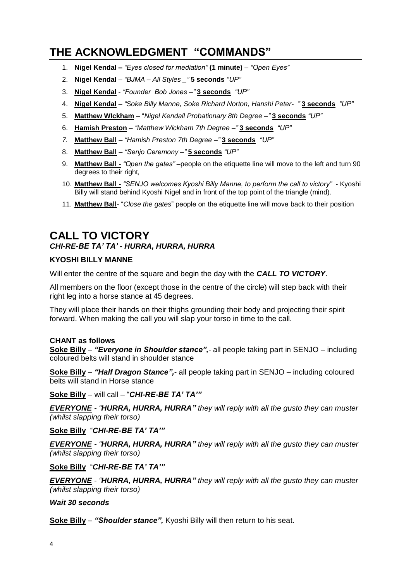## **THE ACKNOWLEDGMENT "COMMANDS"**

- 1. **Nigel Kendal –** *"Eyes closed for mediation"* **(1 minute)** *"Open Eyes"*
- 2. **Nigel Kendal** *"BJMA – All Styles \_"* **5 seconds** *"UP"*
- 3. **Nigel Kendal** *"Founder Bob Jones –"* **3 seconds** *"UP"*
- 4. **Nigel Kendal** *"Soke Billy Manne, Soke Richard Norton, Hanshi Peter- "* **3 seconds** *"UP"*
- 5. **Matthew WIckham** "*Nigel Kendall Probationary 8th Degree –"* **3 seconds** *"UP"*
- 6. **Hamish Preston** *"Matthew Wickham 7th Degree –"* **3 seconds** *"UP"*
- *7.* **Matthew Ball** *"Hamish Preston 7th Degree –"* **3 seconds** *"UP"*
- 8. **Matthew Ball** *"Senjo Ceremony –"* **5 seconds** *"UP"*
- 9. **Matthew Ball -** *"Open the gates" –*people on the etiquette line will move to the left and turn 90 degrees to their right*,*
- 10. **Matthew Ball -** *"SENJO welcomes Kyoshi Billy Manne, to perform the call to victory"* Kyoshi Billy will stand behind Kyoshi Nigel and in front of the top point of the triangle (mind).
- 11. **Matthew Ball** "*Close the gates*" people on the etiquette line will move back to their position

### **CALL TO VICTORY** *CHI-RE-BE TA' TA' - HURRA, HURRA, HURRA*

#### **KYOSHI BILLY MANNE**

Will enter the centre of the square and begin the day with the *CALL TO VICTORY*.

All members on the floor (except those in the centre of the circle) will step back with their right leg into a horse stance at 45 degrees.

They will place their hands on their thighs grounding their body and projecting their spirit forward. When making the call you will slap your torso in time to the call.

#### **CHANT as follows**

**Soke Billy** – *"Everyone in Shoulder stance",*- all people taking part in SENJO – including coloured belts will stand in shoulder stance

**Soke Billy** – *"Half Dragon Stance",*- all people taking part in SENJO – including coloured belts will stand in Horse stance

**Soke Billy** – will call – "*CHI-RE-BE TA' TA'"*

*EVERYONE - "HURRA, HURRA, HURRA" they will reply with all the gusto they can muster (whilst slapping their torso)* 

**Soke Billy** "*CHI-RE-BE TA' TA'"*

*EVERYONE - "HURRA, HURRA, HURRA" they will reply with all the gusto they can muster (whilst slapping their torso)*

**Soke Billy** "*CHI-RE-BE TA' TA'"*

*EVERYONE - "HURRA, HURRA, HURRA" they will reply with all the gusto they can muster (whilst slapping their torso)*

*Wait 30 seconds*

**Soke Billy** – *"Shoulder stance",* Kyoshi Billy will then return to his seat.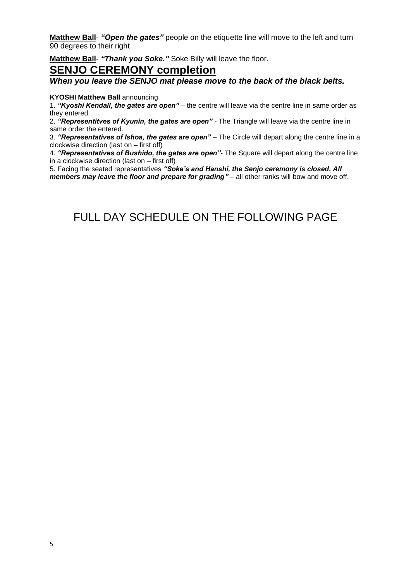**Matthew Ball**- *"Open the gates"* people on the etiquette line will move to the left and turn 90 degrees to their right

**Matthew Ball**- *"Thank you Soke."* Soke Billy will leave the floor.

#### **SENJO CEREMONY completion**

*When you leave the SENJO mat please move to the back of the black belts.*

#### **KYOSHI Matthew Ball** announcing

1. *"Kyoshi Kendall, the gates are open"* – the centre will leave via the centre line in same order as they entered.

2. *"Representitves of Kyunin, the gates are open"* - The Triangle will leave via the centre line in same order the entered.

3. *"Representatives of Ishoa, the gates are open"* – The Circle will depart along the centre line in a clockwise direction (last on – first off)

4. *"Representatives of Bushido, the gates are open"*- The Square will depart along the centre line in a clockwise direction (last on – first off)

5. Facing the seated representatives *"Soke's and Hanshi, the Senjo ceremony is closed. All members may leave the floor and prepare for grading"* – all other ranks will bow and move off.

## FULL DAY SCHEDULE ON THE FOLLOWING PAGE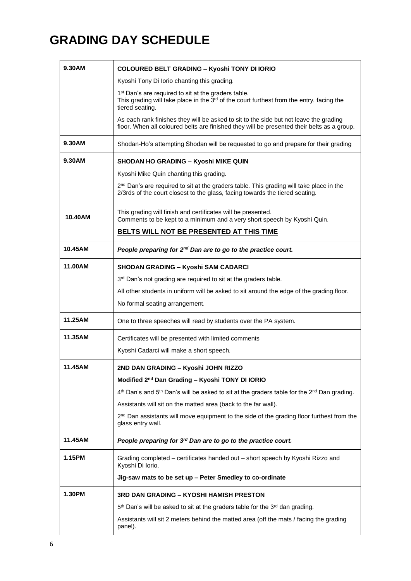# **GRADING DAY SCHEDULE**

| 9.30AM  | <b>COLOURED BELT GRADING - Kyoshi TONY DI IORIO</b>                                                                                                                                        |
|---------|--------------------------------------------------------------------------------------------------------------------------------------------------------------------------------------------|
|         | Kyoshi Tony Di Iorio chanting this grading.                                                                                                                                                |
|         | 1 <sup>st</sup> Dan's are required to sit at the graders table.<br>This grading will take place in the 3 <sup>rd</sup> of the court furthest from the entry, facing the<br>tiered seating. |
|         | As each rank finishes they will be asked to sit to the side but not leave the grading<br>floor. When all coloured belts are finished they will be presented their belts as a group.        |
| 9.30AM  | Shodan-Ho's attempting Shodan will be requested to go and prepare for their grading                                                                                                        |
| 9.30AM  | <b>SHODAN HO GRADING - Kyoshi MIKE QUIN</b>                                                                                                                                                |
|         | Kyoshi Mike Quin chanting this grading.                                                                                                                                                    |
|         | $2nd$ Dan's are required to sit at the graders table. This grading will take place in the<br>2/3rds of the court closest to the glass, facing towards the tiered seating.                  |
| 10.40AM | This grading will finish and certificates will be presented.<br>Comments to be kept to a minimum and a very short speech by Kyoshi Quin.                                                   |
|         | BELTS WILL NOT BE PRESENTED AT THIS TIME                                                                                                                                                   |
| 10.45AM | People preparing for 2 <sup>nd</sup> Dan are to go to the practice court.                                                                                                                  |
| 11.00AM | <b>SHODAN GRADING - Kyoshi SAM CADARCI</b>                                                                                                                                                 |
|         | 3rd Dan's not grading are required to sit at the graders table.                                                                                                                            |
|         | All other students in uniform will be asked to sit around the edge of the grading floor.                                                                                                   |
|         | No formal seating arrangement.                                                                                                                                                             |
| 11.25AM | One to three speeches will read by students over the PA system.                                                                                                                            |
| 11.35AM | Certificates will be presented with limited comments                                                                                                                                       |
|         | Kyoshi Cadarci will make a short speech.                                                                                                                                                   |
| 11.45AM | 2ND DAN GRADING – Kvoshi JOHN RIZZO                                                                                                                                                        |
|         | Modified 2 <sup>nd</sup> Dan Grading - Kyoshi TONY DI IORIO                                                                                                                                |
|         | $4th$ Dan's and $5th$ Dan's will be asked to sit at the graders table for the $2nd$ Dan grading.                                                                                           |
|         | Assistants will sit on the matted area (back to the far wall).                                                                                                                             |
|         | 2 <sup>nd</sup> Dan assistants will move equipment to the side of the grading floor furthest from the<br>glass entry wall.                                                                 |
| 11.45AM | People preparing for 3rd Dan are to go to the practice court.                                                                                                                              |
| 1.15PM  | Grading completed - certificates handed out - short speech by Kyoshi Rizzo and<br>Kyoshi Di Iorio.                                                                                         |
|         | Jig-saw mats to be set up - Peter Smedley to co-ordinate                                                                                                                                   |
| 1.30PM  | 3RD DAN GRADING – KYOSHI HAMISH PRESTON                                                                                                                                                    |
|         | 5 <sup>th</sup> Dan's will be asked to sit at the graders table for the 3 <sup>rd</sup> dan grading.                                                                                       |
|         | Assistants will sit 2 meters behind the matted area (off the mats / facing the grading<br>panel).                                                                                          |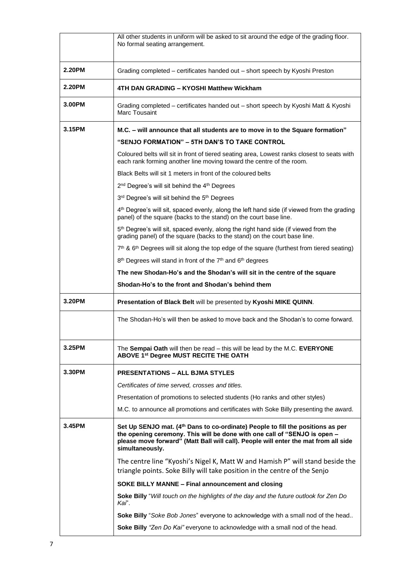|        | All other students in uniform will be asked to sit around the edge of the grading floor.<br>No formal seating arrangement.                                                                                                                                                         |
|--------|------------------------------------------------------------------------------------------------------------------------------------------------------------------------------------------------------------------------------------------------------------------------------------|
| 2.20PM | Grading completed - certificates handed out - short speech by Kyoshi Preston                                                                                                                                                                                                       |
| 2.20PM | 4TH DAN GRADING – KYOSHI Matthew Wickham                                                                                                                                                                                                                                           |
| 3.00PM | Grading completed - certificates handed out - short speech by Kyoshi Matt & Kyoshi<br>Marc Tousaint                                                                                                                                                                                |
| 3.15PM | M.C. – will announce that all students are to move in to the Square formation"                                                                                                                                                                                                     |
|        | "SENJO FORMATION" - 5TH DAN'S TO TAKE CONTROL                                                                                                                                                                                                                                      |
|        | Coloured belts will sit in front of tiered seating area, Lowest ranks closest to seats with<br>each rank forming another line moving toward the centre of the room.                                                                                                                |
|        | Black Belts will sit 1 meters in front of the coloured belts                                                                                                                                                                                                                       |
|        | 2 <sup>nd</sup> Degree's will sit behind the 4 <sup>th</sup> Degrees                                                                                                                                                                                                               |
|        | 3rd Degree's will sit behind the 5 <sup>th</sup> Degrees                                                                                                                                                                                                                           |
|        | 4 <sup>th</sup> Degree's will sit, spaced evenly, along the left hand side (if viewed from the grading<br>panel) of the square (backs to the stand) on the court base line.                                                                                                        |
|        | 5 <sup>th</sup> Degree's will sit, spaced evenly, along the right hand side (if viewed from the<br>grading panel) of the square (backs to the stand) on the court base line.                                                                                                       |
|        | $7th$ & 6 <sup>th</sup> Degrees will sit along the top edge of the square (furthest from tiered seating)                                                                                                                                                                           |
|        | 8 <sup>th</sup> Degrees will stand in front of the 7 <sup>th</sup> and 6 <sup>th</sup> degrees                                                                                                                                                                                     |
|        | The new Shodan-Ho's and the Shodan's will sit in the centre of the square                                                                                                                                                                                                          |
|        | Shodan-Ho's to the front and Shodan's behind them                                                                                                                                                                                                                                  |
| 3.20PM | Presentation of Black Belt will be presented by Kyoshi MIKE QUINN.                                                                                                                                                                                                                 |
|        | The Shodan-Ho's will then be asked to move back and the Shodan's to come forward.                                                                                                                                                                                                  |
| 3.25PM | The Sempai Oath will then be read - this will be lead by the M.C. EVERYONE<br>ABOVE 1st Degree MUST RECITE THE OATH                                                                                                                                                                |
| 3.30PM | <b>PRESENTATIONS - ALL BJMA STYLES</b>                                                                                                                                                                                                                                             |
|        | Certificates of time served, crosses and titles.                                                                                                                                                                                                                                   |
|        | Presentation of promotions to selected students (Ho ranks and other styles)                                                                                                                                                                                                        |
|        | M.C. to announce all promotions and certificates with Soke Billy presenting the award.                                                                                                                                                                                             |
| 3.45PM | Set Up SENJO mat. (4 <sup>th</sup> Dans to co-ordinate) People to fill the positions as per<br>the opening ceremony. This will be done with one call of "SENJO is open -<br>please move forward" (Matt Ball will call). People will enter the mat from all side<br>simultaneously. |
|        | The centre line "Kyoshi's Nigel K, Matt W and Hamish P" will stand beside the<br>triangle points. Soke Billy will take position in the centre of the Senjo                                                                                                                         |
|        | SOKE BILLY MANNE - Final announcement and closing                                                                                                                                                                                                                                  |
|        | Soke Billy "Will touch on the highlights of the day and the future outlook for Zen Do<br>Kai".                                                                                                                                                                                     |
|        | Soke Billy "Soke Bob Jones" everyone to acknowledge with a small nod of the head                                                                                                                                                                                                   |
|        | Soke Billy "Zen Do Kai" everyone to acknowledge with a small nod of the head.                                                                                                                                                                                                      |